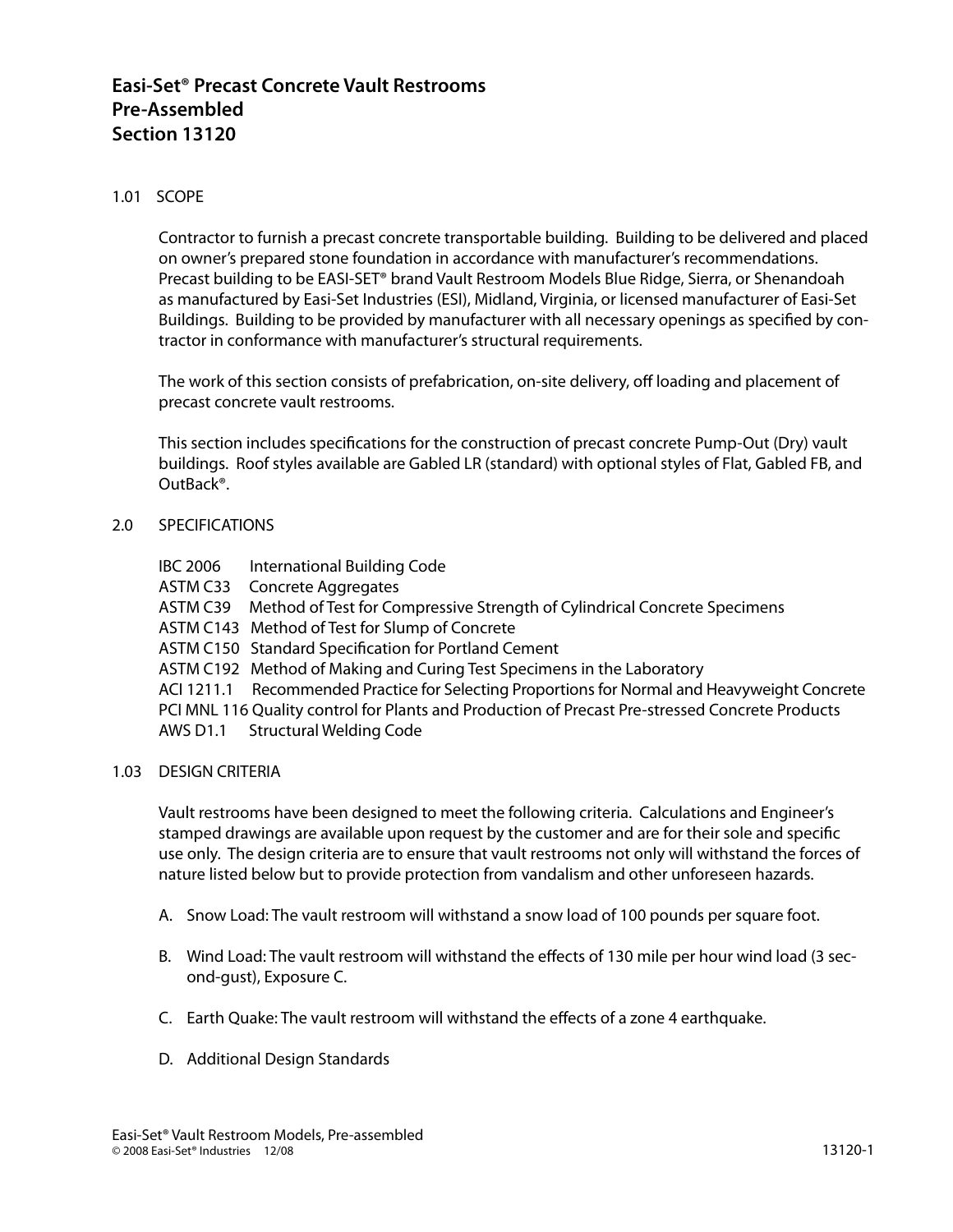# **Easi-Set® Precast Concrete Vault Restrooms Pre-Assembled Section 13120**

# 1.01 SCOPE

Contractor to furnish a precast concrete transportable building. Building to be delivered and placed on owner's prepared stone foundation in accordance with manufacturer's recommendations. Precast building to be EASI-SET® brand Vault Restroom Models Blue Ridge, Sierra, or Shenandoah as manufactured by Easi-Set Industries (ESI), Midland, Virginia, or licensed manufacturer of Easi-Set Buildings. Building to be provided by manufacturer with all necessary openings as specified by contractor in conformance with manufacturer's structural requirements.

The work of this section consists of prefabrication, on-site delivery, off loading and placement of precast concrete vault restrooms.

This section includes specifications for the construction of precast concrete Pump-Out (Dry) vault buildings. Roof styles available are Gabled LR (standard) with optional styles of Flat, Gabled FB, and OutBack®.

## 2.0 SPECIFICATIONS

- IBC 2006 International Building Code
- ASTM C33 Concrete Aggregates
- ASTM C39 Method of Test for Compressive Strength of Cylindrical Concrete Specimens
- ASTM C143 Method of Test for Slump of Concrete
- ASTM C150 Standard Specification for Portland Cement
- ASTM C192 Method of Making and Curing Test Specimens in the Laboratory

ACI 1211.1 Recommended Practice for Selecting Proportions for Normal and Heavyweight Concrete

- PCI MNL 116 Quality control for Plants and Production of Precast Pre-stressed Concrete Products
- AWS D1.1 Structural Welding Code

## 1.03 DESIGN CRITERIA

Vault restrooms have been designed to meet the following criteria. Calculations and Engineer's stamped drawings are available upon request by the customer and are for their sole and specific use only. The design criteria are to ensure that vault restrooms not only will withstand the forces of nature listed below but to provide protection from vandalism and other unforeseen hazards.

- A. Snow Load: The vault restroom will withstand a snow load of 100 pounds per square foot.
- B. Wind Load: The vault restroom will withstand the effects of 130 mile per hour wind load (3 second-gust), Exposure C.
- C. Earth Quake: The vault restroom will withstand the effects of a zone 4 earthquake.
- D. Additional Design Standards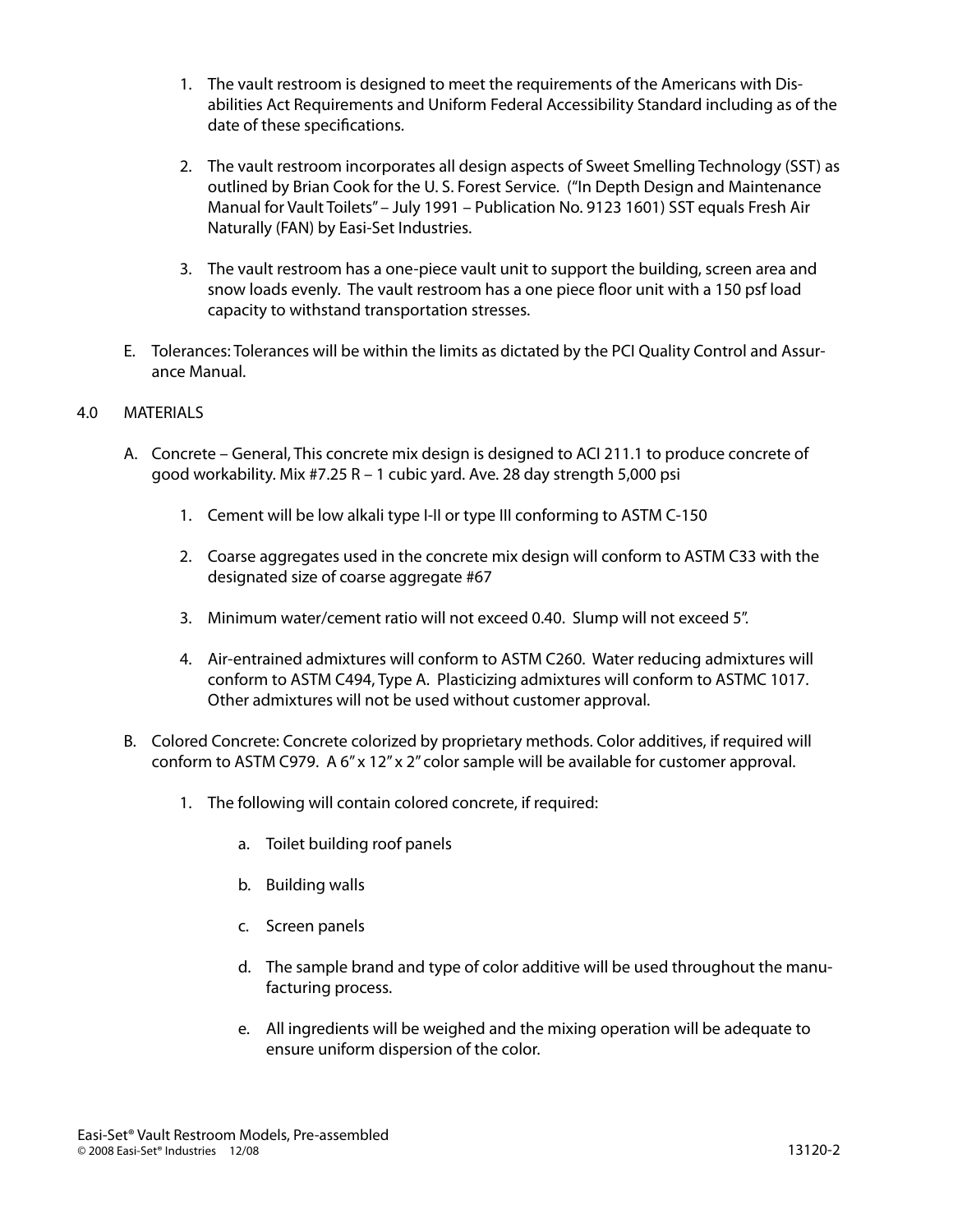- 1. The vault restroom is designed to meet the requirements of the Americans with Disabilities Act Requirements and Uniform Federal Accessibility Standard including as of the date of these specifications.
- 2. The vault restroom incorporates all design aspects of Sweet Smelling Technology (SST) as outlined by Brian Cook for the U. S. Forest Service. ("In Depth Design and Maintenance Manual for Vault Toilets" – July 1991 – Publication No. 9123 1601) SST equals Fresh Air Naturally (FAN) by Easi-Set Industries.
- 3. The vault restroom has a one-piece vault unit to support the building, screen area and snow loads evenly. The vault restroom has a one piece floor unit with a 150 psf load capacity to withstand transportation stresses.
- E. Tolerances: Tolerances will be within the limits as dictated by the PCI Quality Control and Assurance Manual.

# 4.0 MATERIALS

- A. Concrete General, This concrete mix design is designed to ACI 211.1 to produce concrete of good workability. Mix #7.25 R – 1 cubic yard. Ave. 28 day strength 5,000 psi
	- 1. Cement will be low alkali type I-II or type III conforming to ASTM C-150
	- 2. Coarse aggregates used in the concrete mix design will conform to ASTM C33 with the designated size of coarse aggregate #67
	- 3. Minimum water/cement ratio will not exceed 0.40. Slump will not exceed 5".
	- 4. Air-entrained admixtures will conform to ASTM C260. Water reducing admixtures will conform to ASTM C494, Type A. Plasticizing admixtures will conform to ASTMC 1017. Other admixtures will not be used without customer approval.
- B. Colored Concrete: Concrete colorized by proprietary methods. Color additives, if required will conform to ASTM C979. A 6" x 12" x 2" color sample will be available for customer approval.
	- 1. The following will contain colored concrete, if required:
		- a. Toilet building roof panels
		- b. Building walls
		- c. Screen panels
		- d. The sample brand and type of color additive will be used throughout the manufacturing process.
		- e. All ingredients will be weighed and the mixing operation will be adequate to ensure uniform dispersion of the color.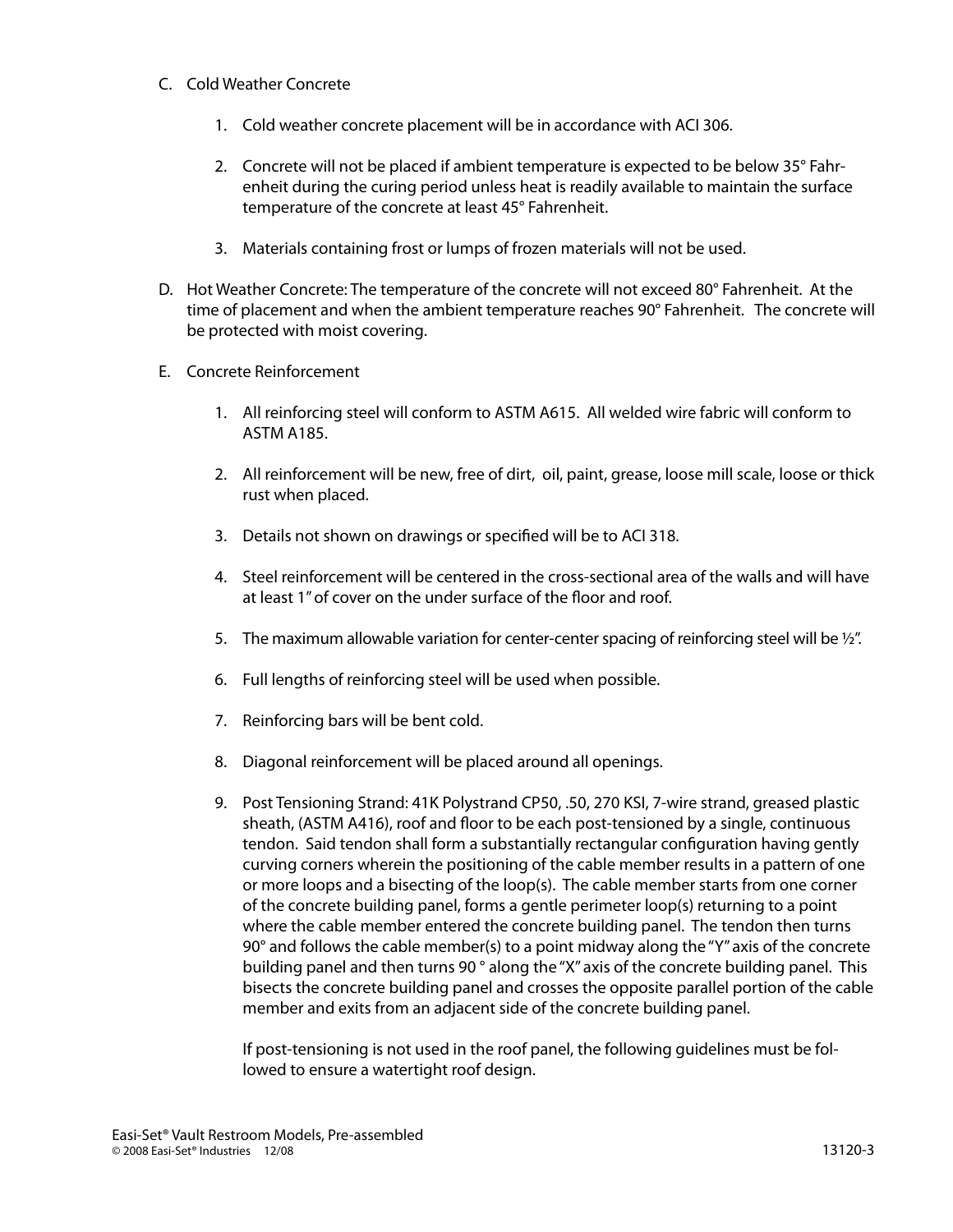## C. Cold Weather Concrete

- 1. Cold weather concrete placement will be in accordance with ACI 306.
- 2. Concrete will not be placed if ambient temperature is expected to be below 35° Fahrenheit during the curing period unless heat is readily available to maintain the surface temperature of the concrete at least 45° Fahrenheit.
- 3. Materials containing frost or lumps of frozen materials will not be used.
- D. Hot Weather Concrete: The temperature of the concrete will not exceed 80° Fahrenheit. At the time of placement and when the ambient temperature reaches 90° Fahrenheit. The concrete will be protected with moist covering.
- E. Concrete Reinforcement
	- 1. All reinforcing steel will conform to ASTM A615. All welded wire fabric will conform to ASTM A185.
	- 2. All reinforcement will be new, free of dirt, oil, paint, grease, loose mill scale, loose or thick rust when placed.
	- 3. Details not shown on drawings or specified will be to ACI 318.
	- 4. Steel reinforcement will be centered in the cross-sectional area of the walls and will have at least 1" of cover on the under surface of the floor and roof.
	- 5. The maximum allowable variation for center-center spacing of reinforcing steel will be  $\frac{1}{2}$ .
	- 6. Full lengths of reinforcing steel will be used when possible.
	- 7. Reinforcing bars will be bent cold.
	- 8. Diagonal reinforcement will be placed around all openings.
	- 9. Post Tensioning Strand: 41K Polystrand CP50, .50, 270 KSI, 7-wire strand, greased plastic sheath, (ASTM A416), roof and floor to be each post-tensioned by a single, continuous tendon. Said tendon shall form a substantially rectangular configuration having gently curving corners wherein the positioning of the cable member results in a pattern of one or more loops and a bisecting of the loop(s). The cable member starts from one corner of the concrete building panel, forms a gentle perimeter loop(s) returning to a point where the cable member entered the concrete building panel. The tendon then turns 90° and follows the cable member(s) to a point midway along the "Y" axis of the concrete building panel and then turns 90 ° along the "X" axis of the concrete building panel. This bisects the concrete building panel and crosses the opposite parallel portion of the cable member and exits from an adjacent side of the concrete building panel.

If post-tensioning is not used in the roof panel, the following guidelines must be followed to ensure a watertight roof design.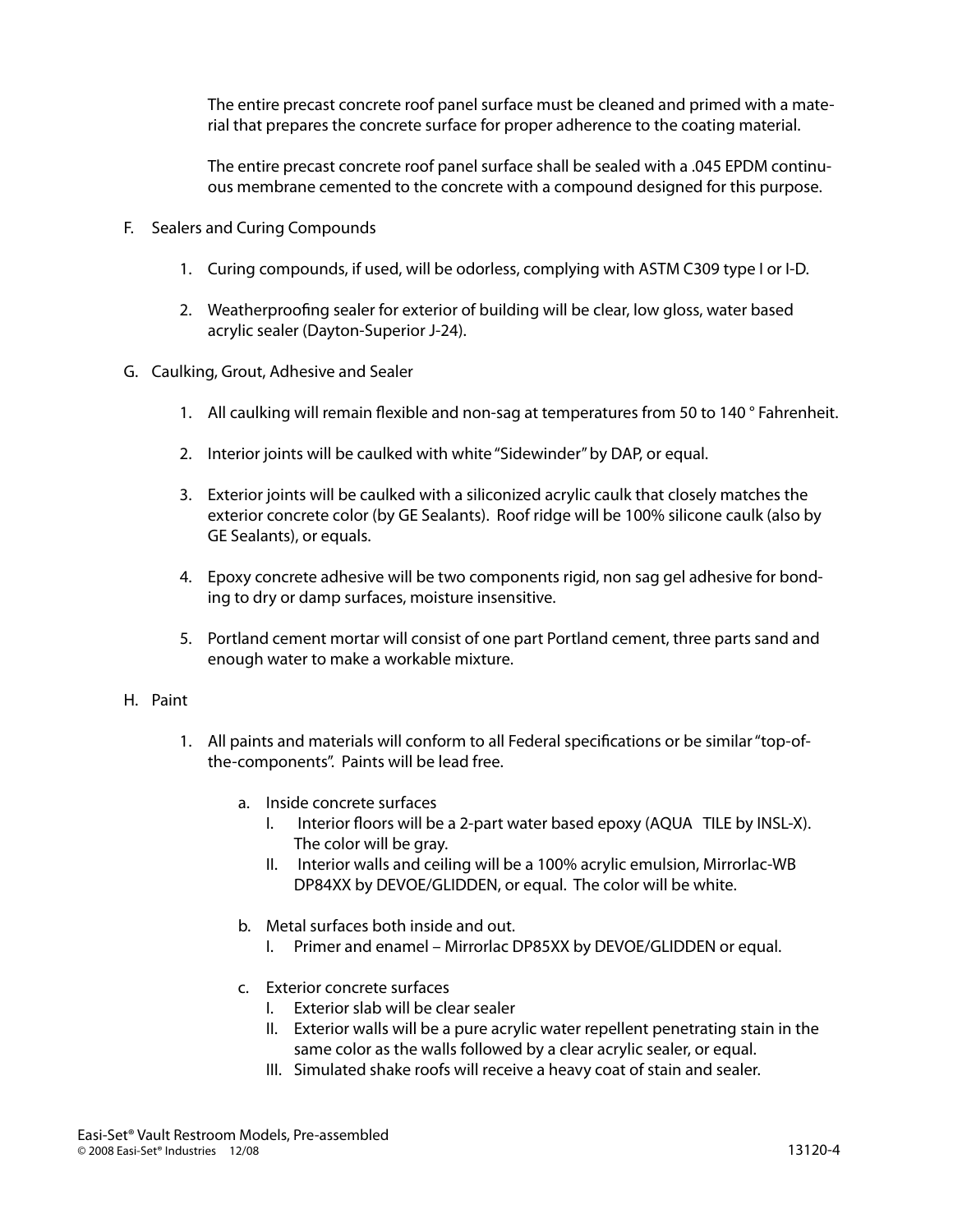The entire precast concrete roof panel surface must be cleaned and primed with a material that prepares the concrete surface for proper adherence to the coating material.

The entire precast concrete roof panel surface shall be sealed with a .045 EPDM continuous membrane cemented to the concrete with a compound designed for this purpose.

- F. Sealers and Curing Compounds
	- 1. Curing compounds, if used, will be odorless, complying with ASTM C309 type I or I-D.
	- 2. Weatherproofing sealer for exterior of building will be clear, low gloss, water based acrylic sealer (Dayton-Superior J-24).
- G. Caulking, Grout, Adhesive and Sealer
	- 1. All caulking will remain flexible and non-sag at temperatures from 50 to 140 ° Fahrenheit.
	- 2. Interior joints will be caulked with white "Sidewinder" by DAP, or equal.
	- 3. Exterior joints will be caulked with a siliconized acrylic caulk that closely matches the exterior concrete color (by GE Sealants). Roof ridge will be 100% silicone caulk (also by GE Sealants), or equals.
	- 4. Epoxy concrete adhesive will be two components rigid, non sag gel adhesive for bonding to dry or damp surfaces, moisture insensitive.
	- 5. Portland cement mortar will consist of one part Portland cement, three parts sand and enough water to make a workable mixture.

## H. Paint

- 1. All paints and materials will conform to all Federal specifications or be similar "top-ofthe-components". Paints will be lead free.
	- a. Inside concrete surfaces
		- I. Interior floors will be a 2-part water based epoxy (AQUA TILE by INSL-X). The color will be gray.
		- II. Interior walls and ceiling will be a 100% acrylic emulsion, Mirrorlac-WB DP84XX by DEVOE/GLIDDEN, or equal. The color will be white.
	- b. Metal surfaces both inside and out.
		- I. Primer and enamel Mirrorlac DP85XX by DEVOE/GLIDDEN or equal.
	- c. Exterior concrete surfaces
		- I. Exterior slab will be clear sealer
		- II. Exterior walls will be a pure acrylic water repellent penetrating stain in the same color as the walls followed by a clear acrylic sealer, or equal.
		- III. Simulated shake roofs will receive a heavy coat of stain and sealer.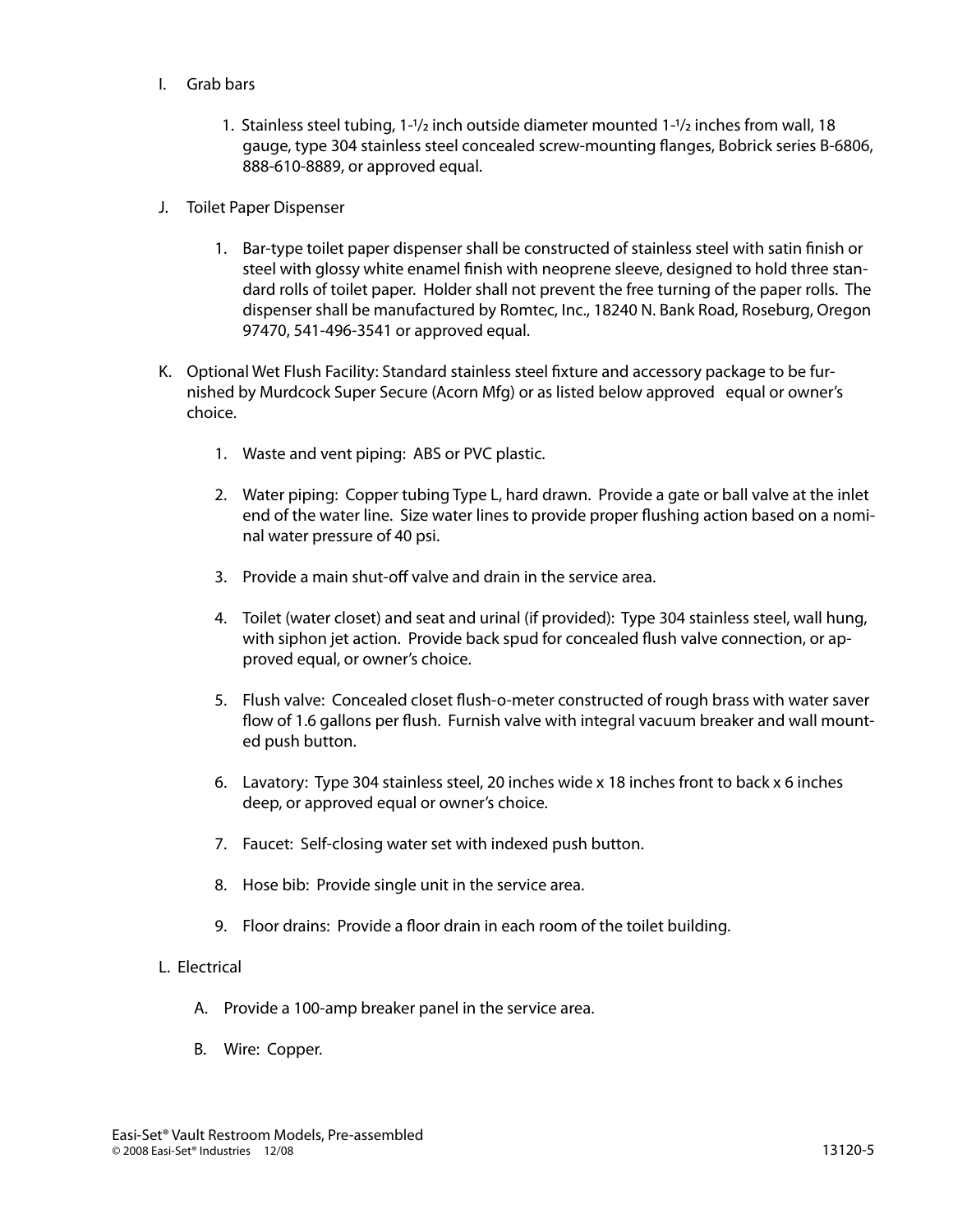- I. Grab bars
	- 1. Stainless steel tubing, 1-1/2 inch outside diameter mounted 1-1/2 inches from wall, 18 gauge, type 304 stainless steel concealed screw-mounting flanges, Bobrick series B-6806, 888-610-8889, or approved equal.
- J. Toilet Paper Dispenser
	- 1. Bar-type toilet paper dispenser shall be constructed of stainless steel with satin finish or steel with glossy white enamel finish with neoprene sleeve, designed to hold three standard rolls of toilet paper. Holder shall not prevent the free turning of the paper rolls. The dispenser shall be manufactured by Romtec, Inc., 18240 N. Bank Road, Roseburg, Oregon 97470, 541-496-3541 or approved equal.
- K. Optional Wet Flush Facility: Standard stainless steel fixture and accessory package to be furnished by Murdcock Super Secure (Acorn Mfg) or as listed below approved equal or owner's choice.
	- 1. Waste and vent piping: ABS or PVC plastic.
	- 2. Water piping: Copper tubing Type L, hard drawn. Provide a gate or ball valve at the inlet end of the water line. Size water lines to provide proper flushing action based on a nominal water pressure of 40 psi.
	- 3. Provide a main shut-off valve and drain in the service area.
	- 4. Toilet (water closet) and seat and urinal (if provided): Type 304 stainless steel, wall hung, with siphon jet action. Provide back spud for concealed flush valve connection, or approved equal, or owner's choice.
	- 5. Flush valve: Concealed closet flush-o-meter constructed of rough brass with water saver flow of 1.6 gallons per flush. Furnish valve with integral vacuum breaker and wall mounted push button.
	- 6. Lavatory: Type 304 stainless steel, 20 inches wide x 18 inches front to back x 6 inches deep, or approved equal or owner's choice.
	- 7. Faucet: Self-closing water set with indexed push button.
	- 8. Hose bib: Provide single unit in the service area.
	- 9. Floor drains: Provide a floor drain in each room of the toilet building.

## L. Electrical

- A. Provide a 100-amp breaker panel in the service area.
- B. Wire: Copper.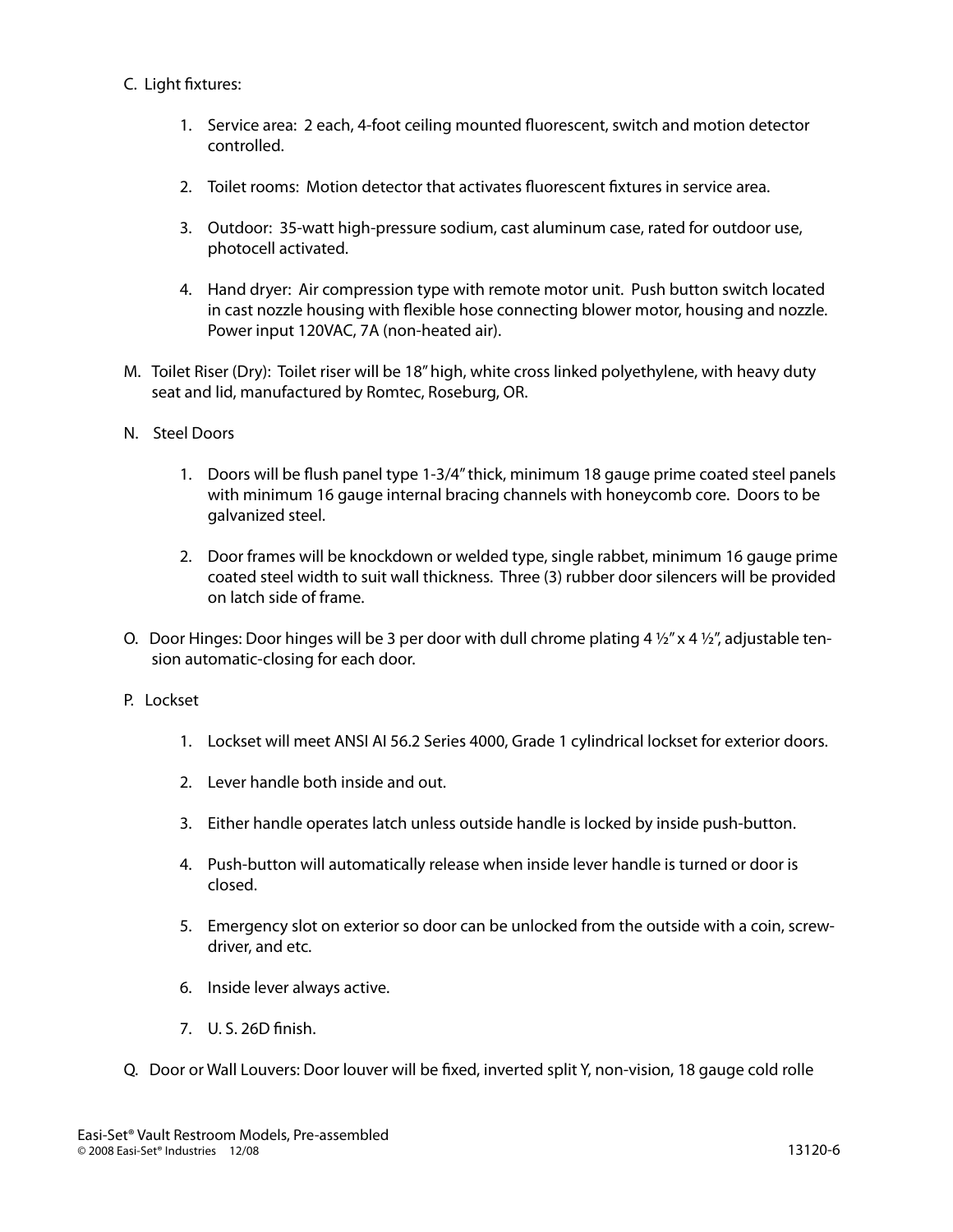# C. Light fixtures:

- 1. Service area: 2 each, 4-foot ceiling mounted fluorescent, switch and motion detector controlled.
- 2. Toilet rooms: Motion detector that activates fluorescent fixtures in service area.
- 3. Outdoor: 35-watt high-pressure sodium, cast aluminum case, rated for outdoor use, photocell activated.
- 4. Hand dryer: Air compression type with remote motor unit. Push button switch located in cast nozzle housing with flexible hose connecting blower motor, housing and nozzle. Power input 120VAC, 7A (non-heated air).
- M. Toilet Riser (Dry): Toilet riser will be 18" high, white cross linked polyethylene, with heavy duty seat and lid, manufactured by Romtec, Roseburg, OR.
- N. Steel Doors
	- 1. Doors will be flush panel type 1-3/4" thick, minimum 18 gauge prime coated steel panels with minimum 16 gauge internal bracing channels with honeycomb core. Doors to be galvanized steel.
	- 2. Door frames will be knockdown or welded type, single rabbet, minimum 16 gauge prime coated steel width to suit wall thickness. Three (3) rubber door silencers will be provided on latch side of frame.
- O. Door Hinges: Door hinges will be 3 per door with dull chrome plating 4  $\frac{1}{2}$ " x 4  $\frac{1}{2}$ ", adjustable tension automatic-closing for each door.
- P. Lockset
	- 1. Lockset will meet ANSI AI 56.2 Series 4000, Grade 1 cylindrical lockset for exterior doors.
	- 2. Lever handle both inside and out.
	- 3. Either handle operates latch unless outside handle is locked by inside push-button.
	- 4. Push-button will automatically release when inside lever handle is turned or door is closed.
	- 5. Emergency slot on exterior so door can be unlocked from the outside with a coin, screwdriver, and etc.
	- 6. Inside lever always active.
	- 7. U. S. 26D finish.
- Q. Door or Wall Louvers: Door louver will be fixed, inverted split Y, non-vision, 18 gauge cold rolle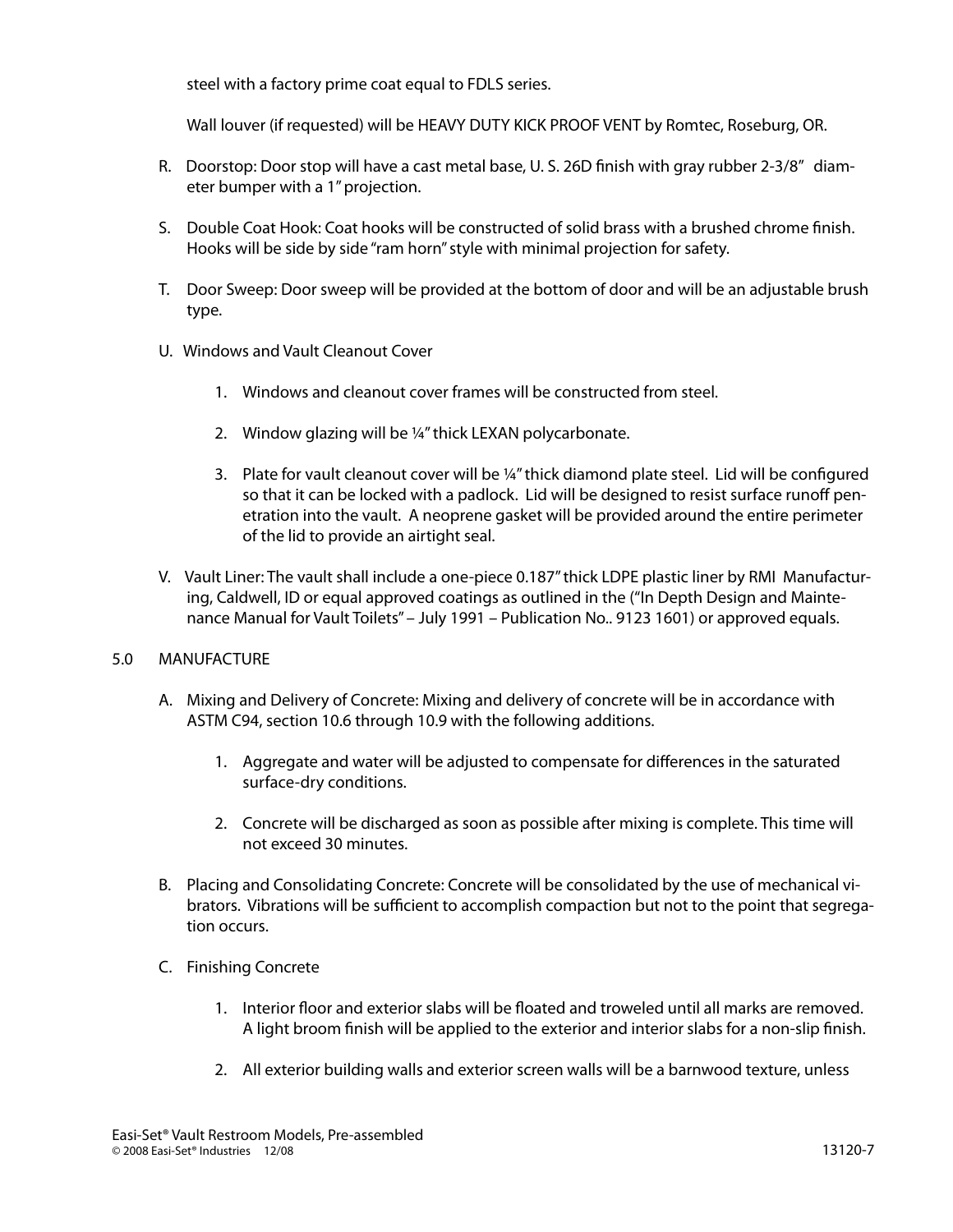steel with a factory prime coat equal to FDLS series.

Wall louver (if requested) will be HEAVY DUTY KICK PROOF VENT by Romtec, Roseburg, OR.

- R. Doorstop: Door stop will have a cast metal base, U. S. 26D finish with gray rubber 2-3/8" diameter bumper with a 1" projection.
- S. Double Coat Hook: Coat hooks will be constructed of solid brass with a brushed chrome finish. Hooks will be side by side "ram horn" style with minimal projection for safety.
- T. Door Sweep: Door sweep will be provided at the bottom of door and will be an adjustable brush type.
- U. Windows and Vault Cleanout Cover
	- 1. Windows and cleanout cover frames will be constructed from steel.
	- 2. Window glazing will be ¼" thick LEXAN polycarbonate.
	- 3. Plate for vault cleanout cover will be ¼" thick diamond plate steel. Lid will be configured so that it can be locked with a padlock. Lid will be designed to resist surface runoff penetration into the vault. A neoprene gasket will be provided around the entire perimeter of the lid to provide an airtight seal.
- V. Vault Liner: The vault shall include a one-piece 0.187" thick LDPE plastic liner by RMI Manufacturing, Caldwell, ID or equal approved coatings as outlined in the ("In Depth Design and Maintenance Manual for Vault Toilets" – July 1991 – Publication No.. 9123 1601) or approved equals.

# 5.0 MANUFACTURE

- A. Mixing and Delivery of Concrete: Mixing and delivery of concrete will be in accordance with ASTM C94, section 10.6 through 10.9 with the following additions.
	- 1. Aggregate and water will be adjusted to compensate for differences in the saturated surface-dry conditions.
	- 2. Concrete will be discharged as soon as possible after mixing is complete. This time will not exceed 30 minutes.
- B. Placing and Consolidating Concrete: Concrete will be consolidated by the use of mechanical vibrators. Vibrations will be sufficient to accomplish compaction but not to the point that segregation occurs.
- C. Finishing Concrete
	- 1. Interior floor and exterior slabs will be floated and troweled until all marks are removed. A light broom finish will be applied to the exterior and interior slabs for a non-slip finish.
	- 2. All exterior building walls and exterior screen walls will be a barnwood texture, unless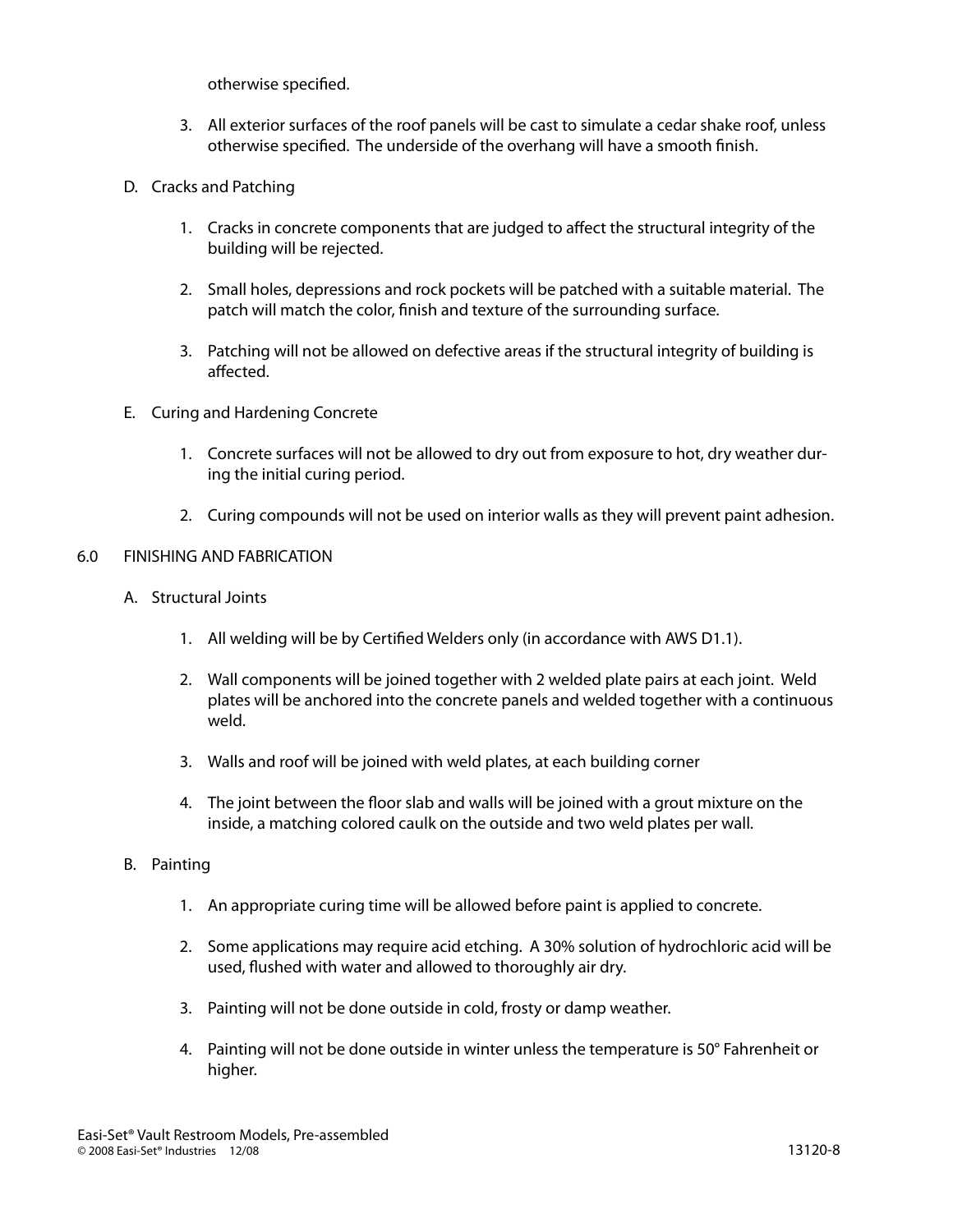otherwise specified.

- 3. All exterior surfaces of the roof panels will be cast to simulate a cedar shake roof, unless otherwise specified. The underside of the overhang will have a smooth finish.
- D. Cracks and Patching
	- 1. Cracks in concrete components that are judged to affect the structural integrity of the building will be rejected.
	- 2. Small holes, depressions and rock pockets will be patched with a suitable material. The patch will match the color, finish and texture of the surrounding surface.
	- 3. Patching will not be allowed on defective areas if the structural integrity of building is affected.
- E. Curing and Hardening Concrete
	- 1. Concrete surfaces will not be allowed to dry out from exposure to hot, dry weather during the initial curing period.
	- 2. Curing compounds will not be used on interior walls as they will prevent paint adhesion.

#### 6.0 FINISHING AND FABRICATION

- A. Structural Joints
	- 1. All welding will be by Certified Welders only (in accordance with AWS D1.1).
	- 2. Wall components will be joined together with 2 welded plate pairs at each joint. Weld plates will be anchored into the concrete panels and welded together with a continuous weld.
	- 3. Walls and roof will be joined with weld plates, at each building corner
	- 4. The joint between the floor slab and walls will be joined with a grout mixture on the inside, a matching colored caulk on the outside and two weld plates per wall.
- B. Painting
	- 1. An appropriate curing time will be allowed before paint is applied to concrete.
	- 2. Some applications may require acid etching. A 30% solution of hydrochloric acid will be used, flushed with water and allowed to thoroughly air dry.
	- 3. Painting will not be done outside in cold, frosty or damp weather.
	- 4. Painting will not be done outside in winter unless the temperature is 50° Fahrenheit or higher.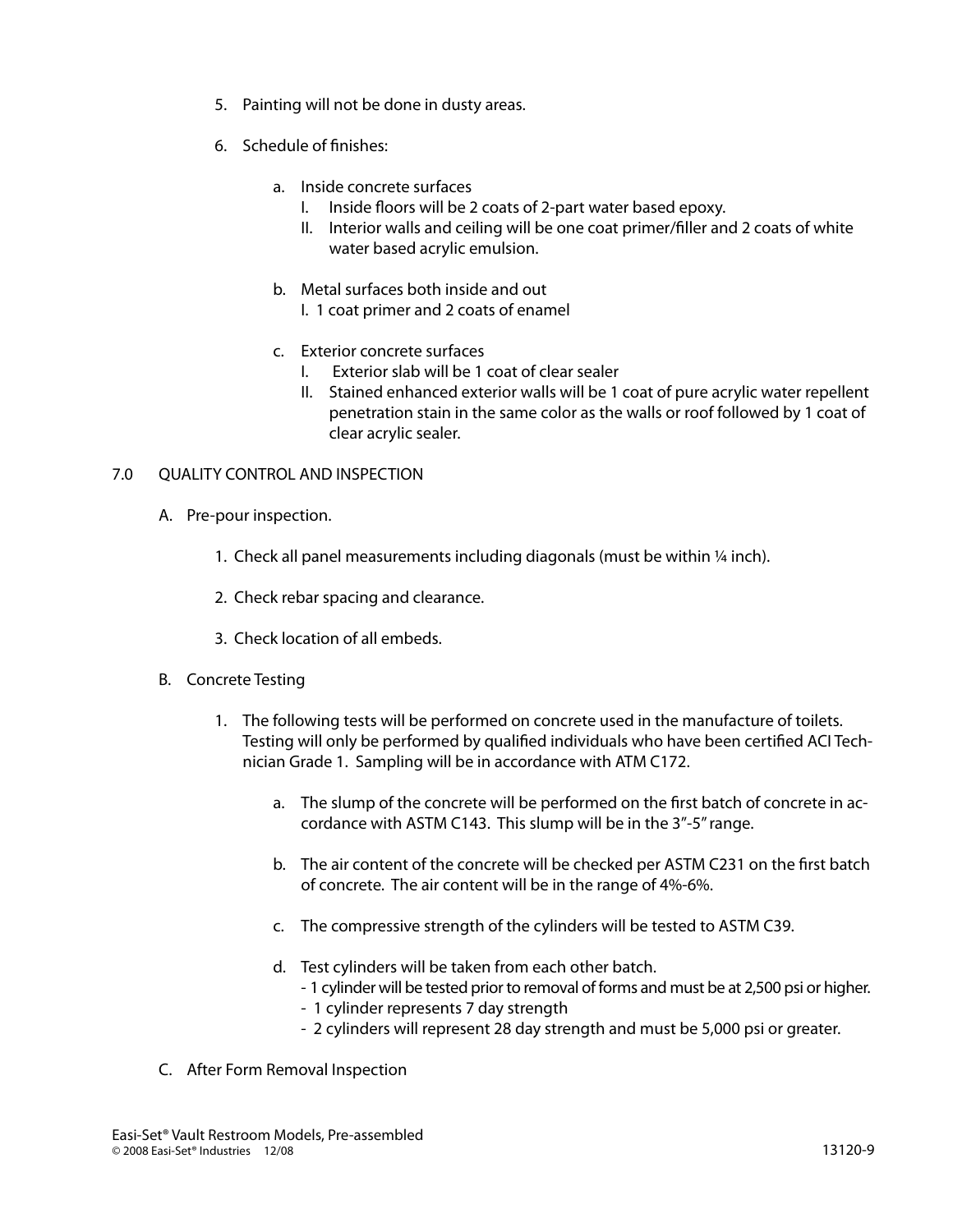- 5. Painting will not be done in dusty areas.
- 6. Schedule of finishes:
	- a. Inside concrete surfaces
		- I. Inside floors will be 2 coats of 2-part water based epoxy.
		- II. Interior walls and ceiling will be one coat primer/filler and 2 coats of white water based acrylic emulsion.
	- b. Metal surfaces both inside and out
		- I. 1 coat primer and 2 coats of enamel
	- c. Exterior concrete surfaces
		- I. Exterior slab will be 1 coat of clear sealer
		- II. Stained enhanced exterior walls will be 1 coat of pure acrylic water repellent penetration stain in the same color as the walls or roof followed by 1 coat of clear acrylic sealer.

# 7.0 QUALITY CONTROL AND INSPECTION

- A. Pre-pour inspection.
	- 1. Check all panel measurements including diagonals (must be within 1/4 inch).
	- 2. Check rebar spacing and clearance.
	- 3. Check location of all embeds.
- B. Concrete Testing
	- 1. The following tests will be performed on concrete used in the manufacture of toilets. Testing will only be performed by qualified individuals who have been certified ACI Technician Grade 1. Sampling will be in accordance with ATM C172.
		- a. The slump of the concrete will be performed on the first batch of concrete in accordance with ASTM C143. This slump will be in the 3"-5" range.
		- b. The air content of the concrete will be checked per ASTM C231 on the first batch of concrete. The air content will be in the range of 4%-6%.
		- c. The compressive strength of the cylinders will be tested to ASTM C39.
		- d. Test cylinders will be taken from each other batch.
			- 1 cylinder will be tested prior to removal of forms and must be at 2,500 psi or higher.
			- 1 cylinder represents 7 day strength
			- 2 cylinders will represent 28 day strength and must be 5,000 psi or greater.
- C. After Form Removal Inspection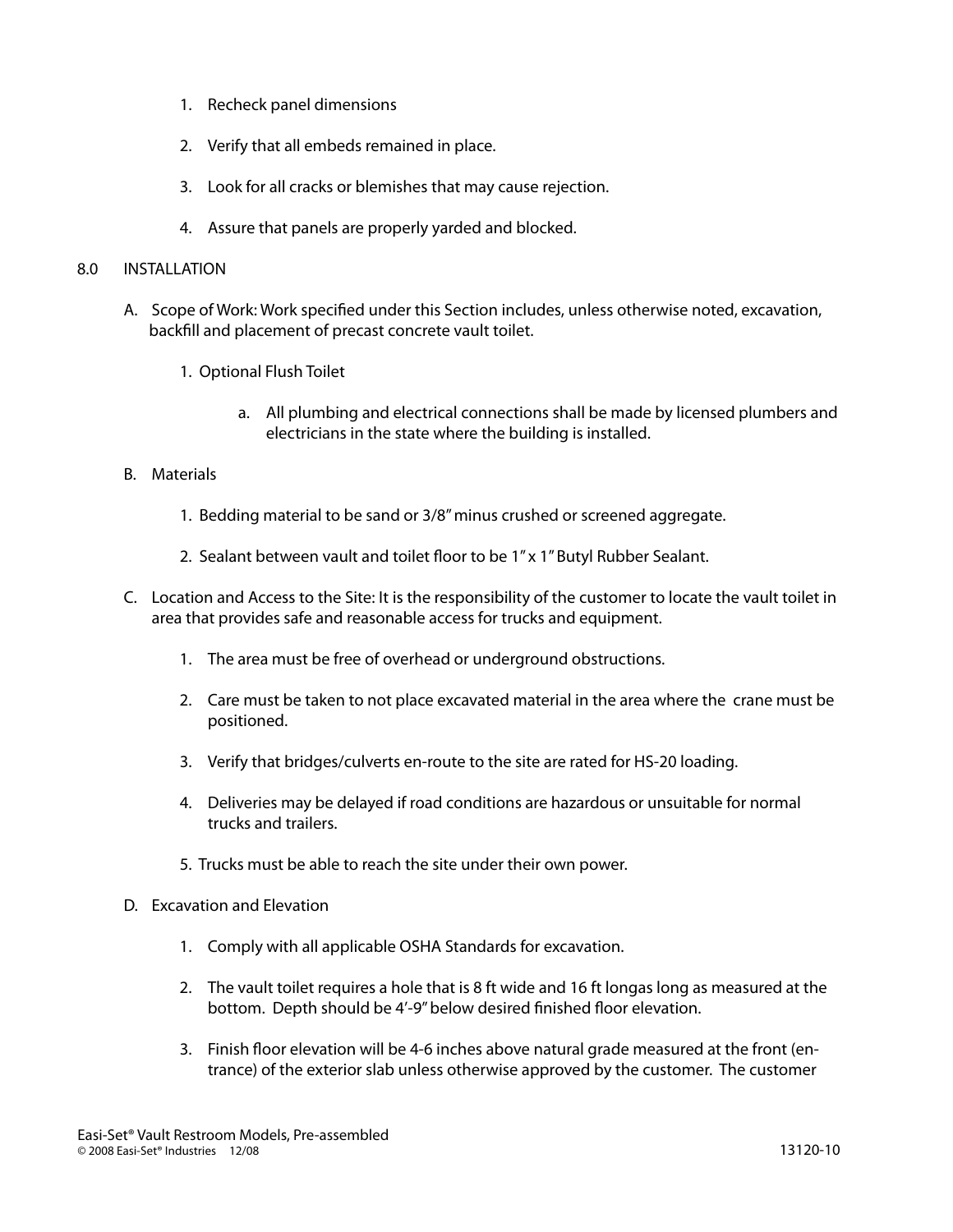- 1. Recheck panel dimensions
- 2. Verify that all embeds remained in place.
- 3. Look for all cracks or blemishes that may cause rejection.
- 4. Assure that panels are properly yarded and blocked.

#### 8.0 INSTALLATION

- A. Scope of Work: Work specified under this Section includes, unless otherwise noted, excavation, backfill and placement of precast concrete vault toilet.
	- 1. Optional Flush Toilet
		- a. All plumbing and electrical connections shall be made by licensed plumbers and electricians in the state where the building is installed.

## B. Materials

- 1. Bedding material to be sand or 3/8" minus crushed or screened aggregate.
- 2. Sealant between vault and toilet floor to be 1" x 1" Butyl Rubber Sealant.
- C. Location and Access to the Site: It is the responsibility of the customer to locate the vault toilet in area that provides safe and reasonable access for trucks and equipment.
	- 1. The area must be free of overhead or underground obstructions.
	- 2. Care must be taken to not place excavated material in the area where the crane must be positioned.
	- 3. Verify that bridges/culverts en-route to the site are rated for HS-20 loading.
	- 4. Deliveries may be delayed if road conditions are hazardous or unsuitable for normal trucks and trailers.
	- 5. Trucks must be able to reach the site under their own power.
- D. Excavation and Elevation
	- 1. Comply with all applicable OSHA Standards for excavation.
	- 2. The vault toilet requires a hole that is 8 ft wide and 16 ft longas long as measured at the bottom. Depth should be 4'-9" below desired finished floor elevation.
	- 3. Finish floor elevation will be 4-6 inches above natural grade measured at the front (entrance) of the exterior slab unless otherwise approved by the customer. The customer